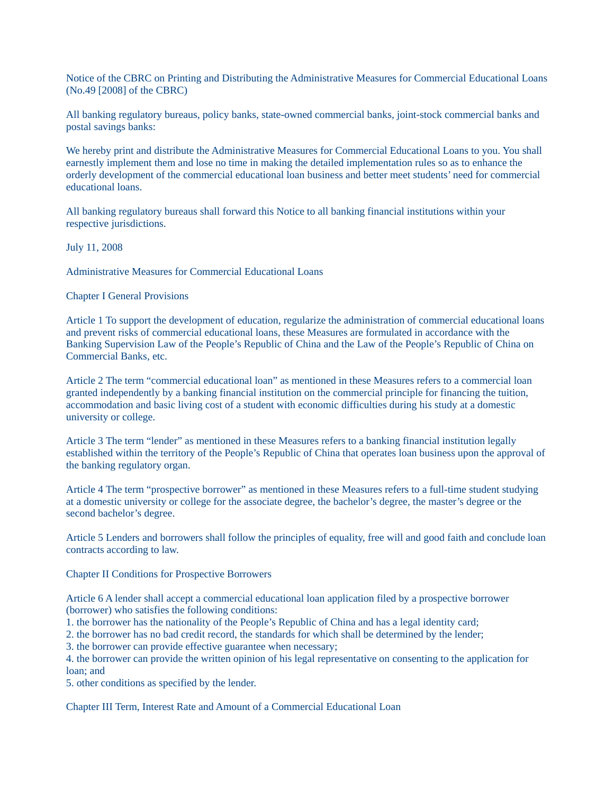Notice of the CBRC on Printing and Distributing the Administrative Measures for Commercial Educational Loans (No.49 [2008] of the CBRC)

All banking regulatory bureaus, policy banks, state-owned commercial banks, joint-stock commercial banks and postal savings banks:

We hereby print and distribute the Administrative Measures for Commercial Educational Loans to you. You shall earnestly implement them and lose no time in making the detailed implementation rules so as to enhance the orderly development of the commercial educational loan business and better meet students' need for commercial educational loans.

All banking regulatory bureaus shall forward this Notice to all banking financial institutions within your respective jurisdictions.

July 11, 2008

Administrative Measures for Commercial Educational Loans

## Chapter I General Provisions

Article 1 To support the development of education, regularize the administration of commercial educational loans and prevent risks of commercial educational loans, these Measures are formulated in accordance with the Banking Supervision Law of the People's Republic of China and the Law of the People's Republic of China on Commercial Banks, etc.

Article 2 The term "commercial educational loan" as mentioned in these Measures refers to a commercial loan granted independently by a banking financial institution on the commercial principle for financing the tuition, accommodation and basic living cost of a student with economic difficulties during his study at a domestic university or college.

Article 3 The term "lender" as mentioned in these Measures refers to a banking financial institution legally established within the territory of the People's Republic of China that operates loan business upon the approval of the banking regulatory organ.

Article 4 The term "prospective borrower" as mentioned in these Measures refers to a full-time student studying at a domestic university or college for the associate degree, the bachelor's degree, the master's degree or the second bachelor's degree.

Article 5 Lenders and borrowers shall follow the principles of equality, free will and good faith and conclude loan contracts according to law.

Chapter II Conditions for Prospective Borrowers

Article 6 A lender shall accept a commercial educational loan application filed by a prospective borrower (borrower) who satisfies the following conditions:

- 1. the borrower has the nationality of the People's Republic of China and has a legal identity card;
- 2. the borrower has no bad credit record, the standards for which shall be determined by the lender;
- 3. the borrower can provide effective guarantee when necessary;
- 4. the borrower can provide the written opinion of his legal representative on consenting to the application for loan; and
- 5. other conditions as specified by the lender.

Chapter III Term, Interest Rate and Amount of a Commercial Educational Loan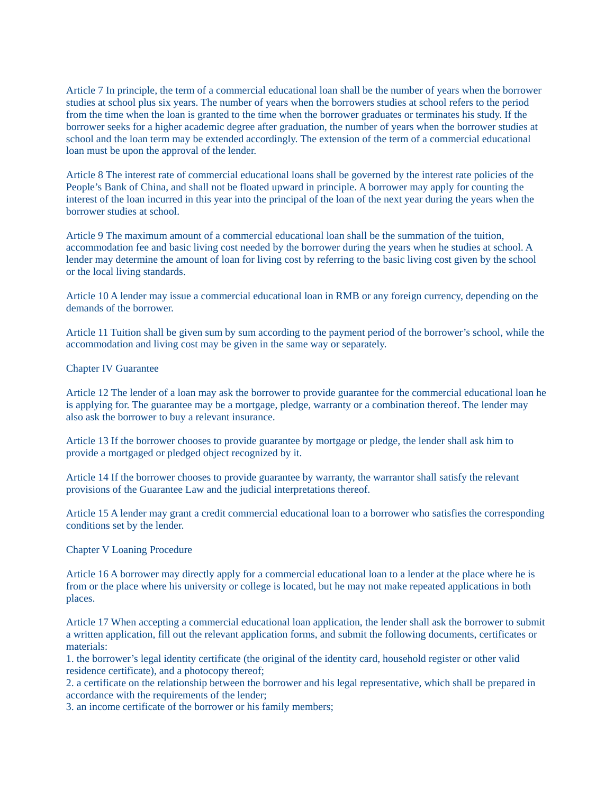Article 7 In principle, the term of a commercial educational loan shall be the number of years when the borrower studies at school plus six years. The number of years when the borrowers studies at school refers to the period from the time when the loan is granted to the time when the borrower graduates or terminates his study. If the borrower seeks for a higher academic degree after graduation, the number of years when the borrower studies at school and the loan term may be extended accordingly. The extension of the term of a commercial educational loan must be upon the approval of the lender.

Article 8 The interest rate of commercial educational loans shall be governed by the interest rate policies of the People's Bank of China, and shall not be floated upward in principle. A borrower may apply for counting the interest of the loan incurred in this year into the principal of the loan of the next year during the years when the borrower studies at school.

Article 9 The maximum amount of a commercial educational loan shall be the summation of the tuition, accommodation fee and basic living cost needed by the borrower during the years when he studies at school. A lender may determine the amount of loan for living cost by referring to the basic living cost given by the school or the local living standards.

Article 10 A lender may issue a commercial educational loan in RMB or any foreign currency, depending on the demands of the borrower.

Article 11 Tuition shall be given sum by sum according to the payment period of the borrower's school, while the accommodation and living cost may be given in the same way or separately.

## Chapter IV Guarantee

Article 12 The lender of a loan may ask the borrower to provide guarantee for the commercial educational loan he is applying for. The guarantee may be a mortgage, pledge, warranty or a combination thereof. The lender may also ask the borrower to buy a relevant insurance.

Article 13 If the borrower chooses to provide guarantee by mortgage or pledge, the lender shall ask him to provide a mortgaged or pledged object recognized by it.

Article 14 If the borrower chooses to provide guarantee by warranty, the warrantor shall satisfy the relevant provisions of the Guarantee Law and the judicial interpretations thereof.

Article 15 A lender may grant a credit commercial educational loan to a borrower who satisfies the corresponding conditions set by the lender.

## Chapter V Loaning Procedure

Article 16 A borrower may directly apply for a commercial educational loan to a lender at the place where he is from or the place where his university or college is located, but he may not make repeated applications in both places.

Article 17 When accepting a commercial educational loan application, the lender shall ask the borrower to submit a written application, fill out the relevant application forms, and submit the following documents, certificates or materials:

1. the borrower's legal identity certificate (the original of the identity card, household register or other valid residence certificate), and a photocopy thereof;

2. a certificate on the relationship between the borrower and his legal representative, which shall be prepared in accordance with the requirements of the lender;

3. an income certificate of the borrower or his family members;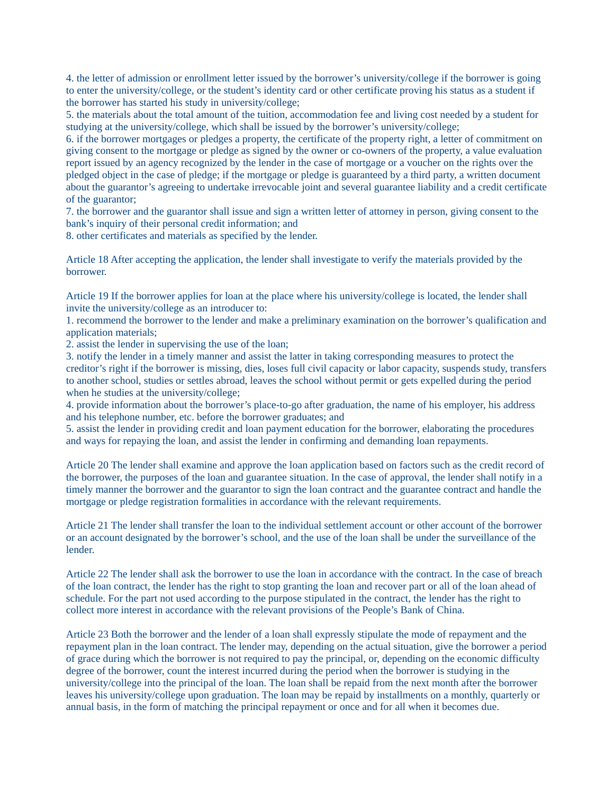4. the letter of admission or enrollment letter issued by the borrower's university/college if the borrower is going to enter the university/college, or the student's identity card or other certificate proving his status as a student if the borrower has started his study in university/college;

5. the materials about the total amount of the tuition, accommodation fee and living cost needed by a student for studying at the university/college, which shall be issued by the borrower's university/college;

6. if the borrower mortgages or pledges a property, the certificate of the property right, a letter of commitment on giving consent to the mortgage or pledge as signed by the owner or co-owners of the property, a value evaluation report issued by an agency recognized by the lender in the case of mortgage or a voucher on the rights over the pledged object in the case of pledge; if the mortgage or pledge is guaranteed by a third party, a written document about the guarantor's agreeing to undertake irrevocable joint and several guarantee liability and a credit certificate of the guarantor;

7. the borrower and the guarantor shall issue and sign a written letter of attorney in person, giving consent to the bank's inquiry of their personal credit information; and

8. other certificates and materials as specified by the lender.

Article 18 After accepting the application, the lender shall investigate to verify the materials provided by the borrower.

Article 19 If the borrower applies for loan at the place where his university/college is located, the lender shall invite the university/college as an introducer to:

1. recommend the borrower to the lender and make a preliminary examination on the borrower's qualification and application materials;

2. assist the lender in supervising the use of the loan;

3. notify the lender in a timely manner and assist the latter in taking corresponding measures to protect the creditor's right if the borrower is missing, dies, loses full civil capacity or labor capacity, suspends study, transfers to another school, studies or settles abroad, leaves the school without permit or gets expelled during the period when he studies at the university/college;

4. provide information about the borrower's place-to-go after graduation, the name of his employer, his address and his telephone number, etc. before the borrower graduates; and

5. assist the lender in providing credit and loan payment education for the borrower, elaborating the procedures and ways for repaying the loan, and assist the lender in confirming and demanding loan repayments.

Article 20 The lender shall examine and approve the loan application based on factors such as the credit record of the borrower, the purposes of the loan and guarantee situation. In the case of approval, the lender shall notify in a timely manner the borrower and the guarantor to sign the loan contract and the guarantee contract and handle the mortgage or pledge registration formalities in accordance with the relevant requirements.

Article 21 The lender shall transfer the loan to the individual settlement account or other account of the borrower or an account designated by the borrower's school, and the use of the loan shall be under the surveillance of the lender.

Article 22 The lender shall ask the borrower to use the loan in accordance with the contract. In the case of breach of the loan contract, the lender has the right to stop granting the loan and recover part or all of the loan ahead of schedule. For the part not used according to the purpose stipulated in the contract, the lender has the right to collect more interest in accordance with the relevant provisions of the People's Bank of China.

Article 23 Both the borrower and the lender of a loan shall expressly stipulate the mode of repayment and the repayment plan in the loan contract. The lender may, depending on the actual situation, give the borrower a period of grace during which the borrower is not required to pay the principal, or, depending on the economic difficulty degree of the borrower, count the interest incurred during the period when the borrower is studying in the university/college into the principal of the loan. The loan shall be repaid from the next month after the borrower leaves his university/college upon graduation. The loan may be repaid by installments on a monthly, quarterly or annual basis, in the form of matching the principal repayment or once and for all when it becomes due.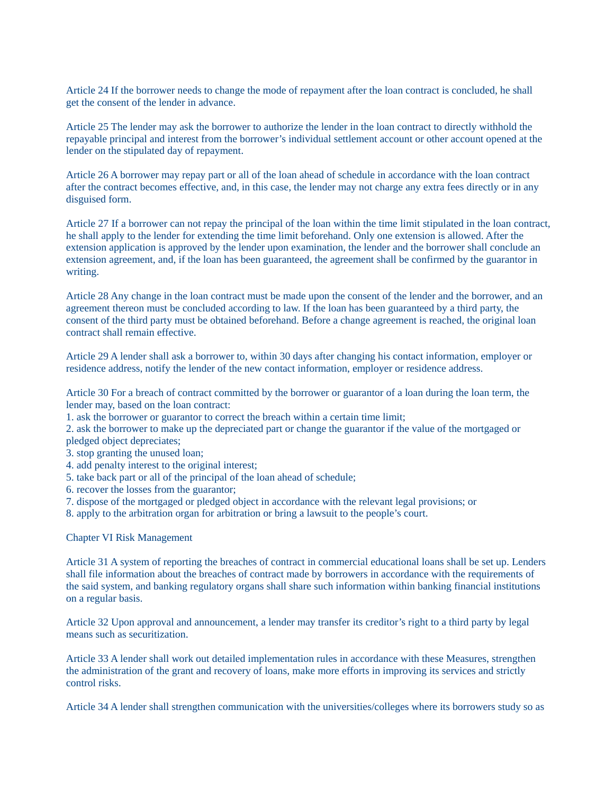Article 24 If the borrower needs to change the mode of repayment after the loan contract is concluded, he shall get the consent of the lender in advance.

Article 25 The lender may ask the borrower to authorize the lender in the loan contract to directly withhold the repayable principal and interest from the borrower's individual settlement account or other account opened at the lender on the stipulated day of repayment.

Article 26 A borrower may repay part or all of the loan ahead of schedule in accordance with the loan contract after the contract becomes effective, and, in this case, the lender may not charge any extra fees directly or in any disguised form.

Article 27 If a borrower can not repay the principal of the loan within the time limit stipulated in the loan contract, he shall apply to the lender for extending the time limit beforehand. Only one extension is allowed. After the extension application is approved by the lender upon examination, the lender and the borrower shall conclude an extension agreement, and, if the loan has been guaranteed, the agreement shall be confirmed by the guarantor in writing.

Article 28 Any change in the loan contract must be made upon the consent of the lender and the borrower, and an agreement thereon must be concluded according to law. If the loan has been guaranteed by a third party, the consent of the third party must be obtained beforehand. Before a change agreement is reached, the original loan contract shall remain effective.

Article 29 A lender shall ask a borrower to, within 30 days after changing his contact information, employer or residence address, notify the lender of the new contact information, employer or residence address.

Article 30 For a breach of contract committed by the borrower or guarantor of a loan during the loan term, the lender may, based on the loan contract:

1. ask the borrower or guarantor to correct the breach within a certain time limit;

2. ask the borrower to make up the depreciated part or change the guarantor if the value of the mortgaged or pledged object depreciates;

- 3. stop granting the unused loan;
- 4. add penalty interest to the original interest;
- 5. take back part or all of the principal of the loan ahead of schedule;
- 6. recover the losses from the guarantor;
- 7. dispose of the mortgaged or pledged object in accordance with the relevant legal provisions; or
- 8. apply to the arbitration organ for arbitration or bring a lawsuit to the people's court.

Chapter VI Risk Management

Article 31 A system of reporting the breaches of contract in commercial educational loans shall be set up. Lenders shall file information about the breaches of contract made by borrowers in accordance with the requirements of the said system, and banking regulatory organs shall share such information within banking financial institutions on a regular basis.

Article 32 Upon approval and announcement, a lender may transfer its creditor's right to a third party by legal means such as securitization.

Article 33 A lender shall work out detailed implementation rules in accordance with these Measures, strengthen the administration of the grant and recovery of loans, make more efforts in improving its services and strictly control risks.

Article 34 A lender shall strengthen communication with the universities/colleges where its borrowers study so as